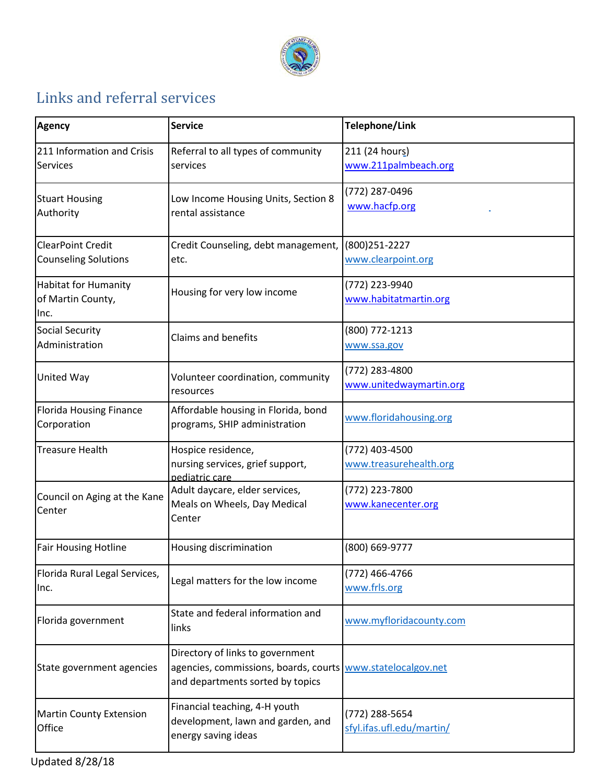

## Links and referral services

| <b>Agency</b>                                            | <b>Service</b>                                                                                                                      | Telephone/Link                              |
|----------------------------------------------------------|-------------------------------------------------------------------------------------------------------------------------------------|---------------------------------------------|
| 211 Information and Crisis<br>Services                   | Referral to all types of community<br>services                                                                                      | 211 (24 hours)<br>www.211palmbeach.org      |
| <b>Stuart Housing</b><br>Authority                       | Low Income Housing Units, Section 8<br>rental assistance                                                                            | (772) 287-0496<br>www.hacfp.org             |
| <b>ClearPoint Credit</b><br><b>Counseling Solutions</b>  | Credit Counseling, debt management,<br>etc.                                                                                         | (800) 251 - 2227<br>www.clearpoint.org      |
| <b>Habitat for Humanity</b><br>of Martin County,<br>Inc. | Housing for very low income                                                                                                         | (772) 223-9940<br>www.habitatmartin.org     |
| <b>Social Security</b><br>Administration                 | <b>Claims and benefits</b>                                                                                                          | (800) 772-1213<br>www.ssa.gov               |
| United Way                                               | Volunteer coordination, community<br>resources                                                                                      | (772) 283-4800<br>www.unitedwaymartin.org   |
| <b>Florida Housing Finance</b><br>Corporation            | Affordable housing in Florida, bond<br>programs, SHIP administration                                                                | www.floridahousing.org                      |
| <b>Treasure Health</b>                                   | Hospice residence,<br>nursing services, grief support,<br>pediatric care                                                            | (772) 403-4500<br>www.treasurehealth.org    |
| Council on Aging at the Kane<br>Center                   | Adult daycare, elder services,<br>Meals on Wheels, Day Medical<br>Center                                                            | (772) 223-7800<br>www.kanecenter.org        |
| <b>Fair Housing Hotline</b>                              | Housing discrimination                                                                                                              | (800) 669-9777                              |
| Florida Rural Legal Services,<br>Inc.                    | Legal matters for the low income                                                                                                    | (772) 466-4766<br>www.frls.org              |
| Florida government                                       | State and federal information and<br>links                                                                                          | www.myfloridacounty.com                     |
| State government agencies                                | Directory of links to government<br>agencies, commissions, boards, courts www.statelocalgov.net<br>and departments sorted by topics |                                             |
| <b>Martin County Extension</b><br>Office                 | Financial teaching, 4-H youth<br>development, lawn and garden, and<br>energy saving ideas                                           | (772) 288-5654<br>sfyl.ifas.ufl.edu/martin/ |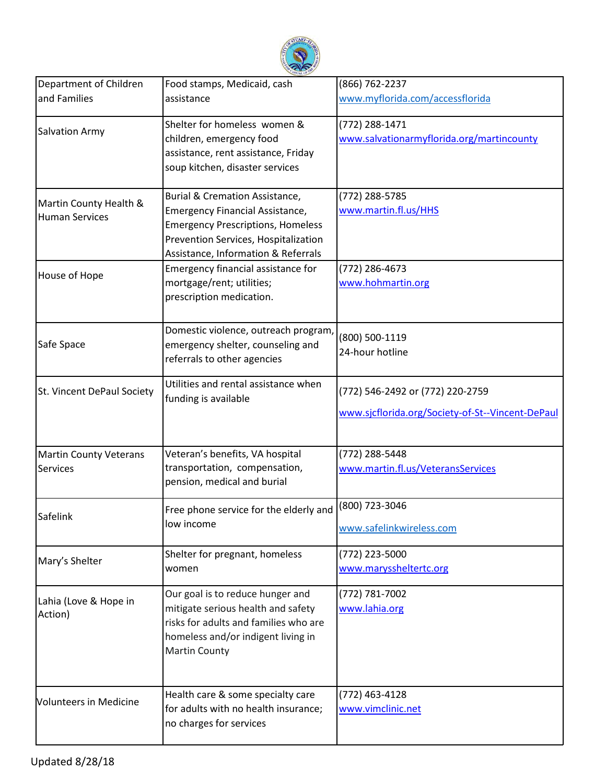

| Department of Children                          | Food stamps, Medicaid, cash                                                                                                                                                                  | (866) 762-2237                                                                       |
|-------------------------------------------------|----------------------------------------------------------------------------------------------------------------------------------------------------------------------------------------------|--------------------------------------------------------------------------------------|
| and Families                                    | assistance                                                                                                                                                                                   | www.myflorida.com/accessflorida                                                      |
| Salvation Army                                  | Shelter for homeless women &<br>children, emergency food<br>assistance, rent assistance, Friday<br>soup kitchen, disaster services                                                           | (772) 288-1471<br>www.salvationarmyflorida.org/martincounty                          |
| Martin County Health &<br><b>Human Services</b> | Burial & Cremation Assistance,<br>Emergency Financial Assistance,<br><b>Emergency Prescriptions, Homeless</b><br>Prevention Services, Hospitalization<br>Assistance, Information & Referrals | (772) 288-5785<br>www.martin.fl.us/HHS                                               |
| House of Hope                                   | Emergency financial assistance for<br>mortgage/rent; utilities;<br>prescription medication.                                                                                                  | (772) 286-4673<br>www.hohmartin.org                                                  |
| Safe Space                                      | Domestic violence, outreach program,<br>emergency shelter, counseling and<br>referrals to other agencies                                                                                     | (800) 500-1119<br>24-hour hotline                                                    |
| St. Vincent DePaul Society                      | Utilities and rental assistance when<br>funding is available                                                                                                                                 | (772) 546-2492 or (772) 220-2759<br>www.sjcflorida.org/Society-of-St--Vincent-DePaul |
| <b>Martin County Veterans</b><br>Services       | Veteran's benefits, VA hospital<br>transportation, compensation,<br>pension, medical and burial                                                                                              | (772) 288-5448<br>www.martin.fl.us/VeteransServices                                  |
| Safelink                                        | Free phone service for the elderly and<br>low income                                                                                                                                         | (800) 723-3046<br>www.safelinkwireless.com                                           |
| Mary's Shelter                                  | Shelter for pregnant, homeless<br>women                                                                                                                                                      | (772) 223-5000<br>www.maryssheltertc.org                                             |
| Lahia (Love & Hope in<br>Action)                | Our goal is to reduce hunger and<br>mitigate serious health and safety<br>risks for adults and families who are<br>homeless and/or indigent living in<br><b>Martin County</b>                | (772) 781-7002<br>www.lahia.org                                                      |
| <b>Volunteers in Medicine</b>                   | Health care & some specialty care<br>for adults with no health insurance;<br>no charges for services                                                                                         | (772) 463-4128<br>www.vimclinic.net                                                  |